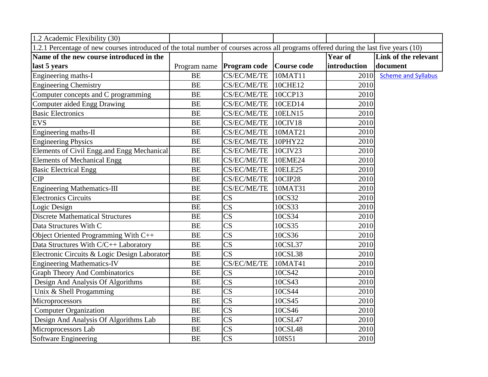| 1.2 Academic Flexibility (30)                                                                                                         |              |                        |                    |              |                            |
|---------------------------------------------------------------------------------------------------------------------------------------|--------------|------------------------|--------------------|--------------|----------------------------|
| 1.2.1 Percentage of new courses introduced of the total number of courses across all programs offered during the last five years (10) |              |                        |                    |              |                            |
| Name of the new course introduced in the                                                                                              |              |                        |                    | Year of      | Link of the relevant       |
| last 5 years                                                                                                                          | Program name | Program code           | <b>Course code</b> | introduction | document                   |
| Engineering maths-I                                                                                                                   | <b>BE</b>    | CS/EC/ME/TE            | 10MAT11            | 2010         | <b>Scheme and Syllabus</b> |
| <b>Engineering Chemistry</b>                                                                                                          | <b>BE</b>    | <b>CS/EC/ME/TE</b>     | 10CHE12            | 2010         |                            |
| Computer concepts and C programming                                                                                                   | BE           | CS/EC/ME/TE            | 10CCP13            | 2010         |                            |
| Computer aided Engg Drawing                                                                                                           | <b>BE</b>    | CS/EC/ME/TE            | 10CED14            | 2010         |                            |
| <b>Basic Electronics</b>                                                                                                              | <b>BE</b>    | CS/EC/ME/TE            | 10ELN15            | 2010         |                            |
| <b>EVS</b>                                                                                                                            | <b>BE</b>    | CS/EC/ME/TE            | 10CIV18            | 2010         |                            |
| Engineering maths-II                                                                                                                  | <b>BE</b>    | CS/EC/ME/TE            | 10MAT21            | 2010         |                            |
| <b>Engineering Physics</b>                                                                                                            | <b>BE</b>    | CS/EC/ME/TE            | 10PHY22            | 2010         |                            |
| Elements of Civil Engg.and Engg Mechanical                                                                                            | BE           | CS/EC/ME/TE            | 10CIV23            | 2010         |                            |
| Elements of Mechanical Engg                                                                                                           | <b>BE</b>    | CS/EC/ME/TE            | 10EME24            | 2010         |                            |
| <b>Basic Electrical Engg</b>                                                                                                          | BE           | CS/EC/ME/TE            | 10ELE25            | 2010         |                            |
| CIP                                                                                                                                   | <b>BE</b>    | CS/EC/ME/TE            | 10CIP28            | 2010         |                            |
| <b>Engineering Mathematics-III</b>                                                                                                    | BE           | CS/EC/ME/TE            | 10MAT31            | 2010         |                            |
| <b>Electronics Circuits</b>                                                                                                           | <b>BE</b>    | $\overline{\text{CS}}$ | 10CS32             | 2010         |                            |
| Logic Design                                                                                                                          | <b>BE</b>    | $\overline{\text{CS}}$ | 10CS33             | 2010         |                            |
| <b>Discrete Mathematical Structures</b>                                                                                               | <b>BE</b>    | $\overline{\text{CS}}$ | 10CS34             | 2010         |                            |
| Data Structures With C                                                                                                                | BE           | $\overline{\text{CS}}$ | 10CS35             | 2010         |                            |
| Object Oriented Programming With C++                                                                                                  | BE           | $\overline{\text{CS}}$ | 10CS36             | 2010         |                            |
| Data Structures With C/C++ Laboratory                                                                                                 | <b>BE</b>    | $\overline{\text{CS}}$ | 10CSL37            | 2010         |                            |
| Electronic Circuits & Logic Design Laborator                                                                                          | <b>BE</b>    | $\overline{\text{CS}}$ | 10CSL38            | 2010         |                            |
| <b>Engineering Mathematics-IV</b>                                                                                                     | BE           | CS/EC/ME/TE            | 10MAT41            | 2010         |                            |
| <b>Graph Theory And Combinatorics</b>                                                                                                 | BE           | $\overline{\text{CS}}$ | 10CS42             | 2010         |                            |
| Design And Analysis Of Algorithms                                                                                                     | BE           | $\overline{\text{CS}}$ | 10CS43             | 2010         |                            |
| Unix & Shell Progamming                                                                                                               | <b>BE</b>    | $\overline{\text{CS}}$ | 10CS44             | 2010         |                            |
| Microprocessors                                                                                                                       | <b>BE</b>    | $\overline{\text{CS}}$ | 10CS45             | 2010         |                            |
| <b>Computer Organization</b>                                                                                                          | BE           | $\overline{\text{CS}}$ | 10CS46             | 2010         |                            |
| Design And Analysis Of Algorithms Lab                                                                                                 | BE           | $\overline{\text{CS}}$ | 10CSL47            | 2010         |                            |
| Microprocessors Lab                                                                                                                   | <b>BE</b>    | $\overline{\text{CS}}$ | 10CSL48            | 2010         |                            |
| Software Engineering                                                                                                                  | <b>BE</b>    | $\overline{\text{CS}}$ | 10IS51             | 2010         |                            |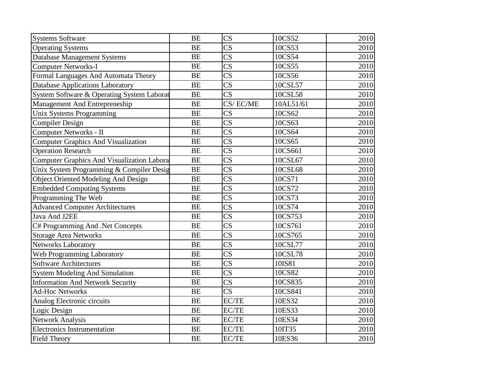| <b>Systems Software</b>                           | <b>BE</b> | $\overline{\text{CS}}$ | 10CS52    | 2010 |
|---------------------------------------------------|-----------|------------------------|-----------|------|
| <b>Operating Systems</b>                          | <b>BE</b> | $\overline{\text{CS}}$ | 10CS53    | 2010 |
| Database Management Systems                       | <b>BE</b> | $\overline{\text{CS}}$ | 10CS54    | 2010 |
| <b>Computer Networks-I</b>                        | <b>BE</b> | $\overline{\text{CS}}$ | 10CS55    | 2010 |
| Formal Languages And Automata Theory              | <b>BE</b> | $\overline{\text{CS}}$ | 10CS56    | 2010 |
| Database Applications Laboratory                  | <b>BE</b> | $\overline{\text{CS}}$ | 10CSL57   | 2010 |
| System Software & Operating System Laborat        | <b>BE</b> | $\overline{\text{CS}}$ | 10CSL58   | 2010 |
| Management And Entrepreneship                     | <b>BE</b> | CS/EC/ME               | 10AL51/61 | 2010 |
| Unix Systems Programming                          | <b>BE</b> | $\overline{\text{CS}}$ | 10CS62    | 2010 |
| <b>Compiler Design</b>                            | <b>BE</b> | $\overline{\text{CS}}$ | 10CS63    | 2010 |
| Computer Networks - II                            | <b>BE</b> | $\overline{\text{CS}}$ | 10CS64    | 2010 |
| <b>Computer Graphics And Visualization</b>        | <b>BE</b> | $\overline{\text{CS}}$ | 10CS65    | 2010 |
| <b>Operation Research</b>                         | <b>BE</b> | $\overline{\text{CS}}$ | 10CS661   | 2010 |
| <b>Computer Graphics And Visualization Labora</b> | <b>BE</b> | $\overline{\text{CS}}$ | 10CSL67   | 2010 |
| Unix System Programming & Compiler Desig          | <b>BE</b> | $\overline{\text{CS}}$ | 10CSL68   | 2010 |
| <b>Object Oriented Modeling And Design</b>        | <b>BE</b> | $\overline{\text{CS}}$ | 10CS71    | 2010 |
| <b>Embedded Computing Systems</b>                 | <b>BE</b> | $\overline{\text{CS}}$ | 10CS72    | 2010 |
| Programming The Web                               | <b>BE</b> | $\overline{\text{CS}}$ | 10CS73    | 2010 |
| <b>Advanced Computer Architectures</b>            | <b>BE</b> | $\overline{\text{CS}}$ | 10CS74    | 2010 |
| Java And J2EE                                     | <b>BE</b> | $\overline{\text{CS}}$ | 10CS753   | 2010 |
| C# Programming And .Net Concepts                  | <b>BE</b> | $\overline{\text{CS}}$ | 10CS761   | 2010 |
| <b>Storage Area Networks</b>                      | <b>BE</b> | $\overline{\text{CS}}$ | 10CS765   | 2010 |
| <b>Networks Laboratory</b>                        | <b>BE</b> | $\overline{\text{CS}}$ | 10CSL77   | 2010 |
| Web Programming Laboratory                        | <b>BE</b> | $\overline{\text{CS}}$ | 10CSL78   | 2010 |
| <b>Software Architectures</b>                     | <b>BE</b> | $\overline{\text{CS}}$ | 10IS81    | 2010 |
| <b>System Modeling And Simulation</b>             | <b>BE</b> | $\overline{\text{CS}}$ | 10CS82    | 2010 |
| <b>Information And Network Security</b>           | <b>BE</b> | $\overline{\text{CS}}$ | 10CS835   | 2010 |
| <b>Ad-Hoc Networks</b>                            | <b>BE</b> | $\overline{\text{CS}}$ | 10CS841   | 2010 |
| Analog Electronic circuits                        | <b>BE</b> | EC/TE                  | 10ES32    | 2010 |
| Logic Design                                      | <b>BE</b> | EC/TE                  | 10ES33    | 2010 |
| <b>Network Analysis</b>                           | <b>BE</b> | EC/TE                  | 10ES34    | 2010 |
| <b>Electronics Instrumentation</b>                | <b>BE</b> | EC/TE                  | 10IT35    | 2010 |
| <b>Field Theory</b>                               | <b>BE</b> | EC/TE                  | 10ES36    | 2010 |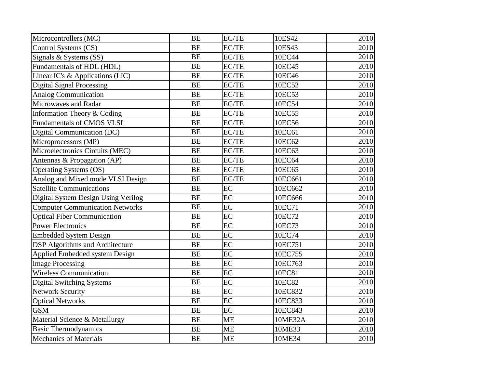| Microcontrollers (MC)                  | <b>BE</b> | EC/TE     | 10ES42  | 2010 |
|----------------------------------------|-----------|-----------|---------|------|
| Control Systems (CS)                   | <b>BE</b> | EC/TE     | 10ES43  | 2010 |
| Signals & Systems (SS)                 | <b>BE</b> | EC/TE     | 10EC44  | 2010 |
| Fundamentals of HDL (HDL)              | <b>BE</b> | EC/TE     | 10EC45  | 2010 |
| Linear IC's & Applications (LIC)       | <b>BE</b> | EC/TE     | 10EC46  | 2010 |
| <b>Digital Signal Processing</b>       | <b>BE</b> | EC/TE     | 10EC52  | 2010 |
| <b>Analog Communication</b>            | <b>BE</b> | EC/TE     | 10EC53  | 2010 |
| Microwaves and Radar                   | <b>BE</b> | EC/TE     | 10EC54  | 2010 |
| Information Theory & Coding            | <b>BE</b> | EC/TE     | 10EC55  | 2010 |
| Fundamentals of CMOS VLSI              | <b>BE</b> | EC/TE     | 10EC56  | 2010 |
| Digital Communication (DC)             | <b>BE</b> | EC/TE     | 10EC61  | 2010 |
| Microprocessors (MP)                   | <b>BE</b> | EC/TE     | 10EC62  | 2010 |
| Microelectronics Circuits (MEC)        | <b>BE</b> | EC/TE     | 10EC63  | 2010 |
| Antennas & Propagation (AP)            | <b>BE</b> | EC/TE     | 10EC64  | 2010 |
| <b>Operating Systems (OS)</b>          | <b>BE</b> | EC/TE     | 10EC65  | 2010 |
| Analog and Mixed mode VLSI Design      | <b>BE</b> | EC/TE     | 10EC661 | 2010 |
| <b>Satellite Communications</b>        | <b>BE</b> | EC        | 10EC662 | 2010 |
| Digital System Design Using Verilog    | <b>BE</b> | EC        | 10EC666 | 2010 |
| <b>Computer Communication Networks</b> | <b>BE</b> | EC        | 10EC71  | 2010 |
| <b>Optical Fiber Communication</b>     | <b>BE</b> | EC        | 10EC72  | 2010 |
| <b>Power Electronics</b>               | <b>BE</b> | EC        | 10EC73  | 2010 |
| <b>Embedded System Design</b>          | <b>BE</b> | EC        | 10EC74  | 2010 |
| <b>DSP Algorithms and Architecture</b> | <b>BE</b> | EC        | 10EC751 | 2010 |
| Applied Embedded system Design         | <b>BE</b> | EC        | 10EC755 | 2010 |
| <b>Image Processing</b>                | <b>BE</b> | EC        | 10EC763 | 2010 |
| <b>Wireless Communication</b>          | <b>BE</b> | EC        | 10EC81  | 2010 |
| <b>Digital Switching Systems</b>       | <b>BE</b> | EC        | 10EC82  | 2010 |
| <b>Network Security</b>                | <b>BE</b> | EC        | 10EC832 | 2010 |
| <b>Optical Networks</b>                | <b>BE</b> | EC        | 10EC833 | 2010 |
| <b>GSM</b>                             | <b>BE</b> | EC        | 10EC843 | 2010 |
| Material Science & Metallurgy          | <b>BE</b> | <b>ME</b> | 10ME32A | 2010 |
| <b>Basic Thermodynamics</b>            | <b>BE</b> | <b>ME</b> | 10ME33  | 2010 |
| <b>Mechanics of Materials</b>          | <b>BE</b> | <b>ME</b> | 10ME34  | 2010 |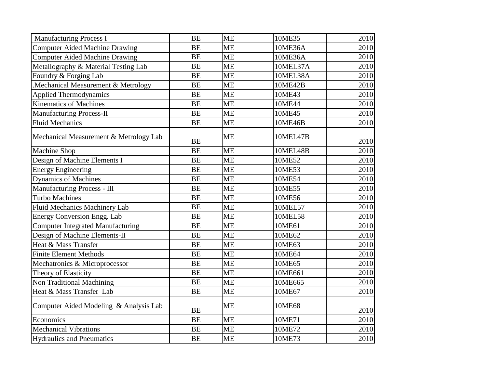| <b>Manufacturing Process I</b>           | <b>BE</b> | <b>ME</b> | 10ME35   | 2010 |
|------------------------------------------|-----------|-----------|----------|------|
| <b>Computer Aided Machine Drawing</b>    | <b>BE</b> | <b>ME</b> | 10ME36A  | 2010 |
| <b>Computer Aided Machine Drawing</b>    | <b>BE</b> | <b>ME</b> | 10ME36A  | 2010 |
| Metallography & Material Testing Lab     | <b>BE</b> | <b>ME</b> | 10MEL37A | 2010 |
| Foundry & Forging Lab                    | <b>BE</b> | <b>ME</b> | 10MEL38A | 2010 |
| Mechanical Measurement & Metrology       | <b>BE</b> | <b>ME</b> | 10ME42B  | 2010 |
| <b>Applied Thermodynamics</b>            | <b>BE</b> | <b>ME</b> | 10ME43   | 2010 |
| <b>Kinematics of Machines</b>            | <b>BE</b> | <b>ME</b> | 10ME44   | 2010 |
| <b>Manufacturing Process-II</b>          | <b>BE</b> | <b>ME</b> | 10ME45   | 2010 |
| <b>Fluid Mechanics</b>                   | <b>BE</b> | <b>ME</b> | 10ME46B  | 2010 |
| Mechanical Measurement & Metrology Lab   | <b>BE</b> | <b>ME</b> | 10MEL47B | 2010 |
| <b>Machine Shop</b>                      | <b>BE</b> | <b>ME</b> | 10MEL48B | 2010 |
| Design of Machine Elements I             | <b>BE</b> | <b>ME</b> | 10ME52   | 2010 |
| <b>Energy Engineering</b>                | <b>BE</b> | <b>ME</b> | 10ME53   | 2010 |
| <b>Dynamics of Machines</b>              | <b>BE</b> | <b>ME</b> | 10ME54   | 2010 |
| Manufacturing Process - III              | <b>BE</b> | <b>ME</b> | 10ME55   | 2010 |
| <b>Turbo Machines</b>                    | <b>BE</b> | <b>ME</b> | 10ME56   | 2010 |
| Fluid Mechanics Machinery Lab            | <b>BE</b> | <b>ME</b> | 10MEL57  | 2010 |
| <b>Energy Conversion Engg. Lab</b>       | <b>BE</b> | <b>ME</b> | 10MEL58  | 2010 |
| <b>Computer Integrated Manufacturing</b> | <b>BE</b> | <b>ME</b> | 10ME61   | 2010 |
| Design of Machine Elements-II            | <b>BE</b> | <b>ME</b> | 10ME62   | 2010 |
| Heat & Mass Transfer                     | <b>BE</b> | <b>ME</b> | 10ME63   | 2010 |
| <b>Finite Element Methods</b>            | <b>BE</b> | <b>ME</b> | 10ME64   | 2010 |
| Mechatronics & Microprocessor            | <b>BE</b> | <b>ME</b> | 10ME65   | 2010 |
| Theory of Elasticity                     | <b>BE</b> | <b>ME</b> | 10ME661  | 2010 |
| Non Traditional Machining                | <b>BE</b> | <b>ME</b> | 10ME665  | 2010 |
| Heat & Mass Transfer Lab                 | <b>BE</b> | <b>ME</b> | 10ME67   | 2010 |
| Computer Aided Modeling & Analysis Lab   | <b>BE</b> | <b>ME</b> | 10ME68   | 2010 |
| Economics                                | <b>BE</b> | <b>ME</b> | 10ME71   | 2010 |
| <b>Mechanical Vibrations</b>             | <b>BE</b> | <b>ME</b> | 10ME72   | 2010 |
| <b>Hydraulics and Pneumatics</b>         | <b>BE</b> | <b>ME</b> | 10ME73   | 2010 |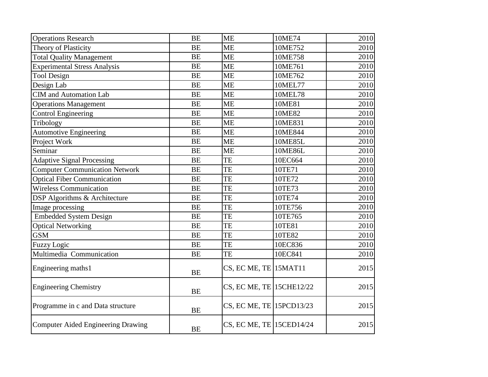| <b>Operations Research</b>            | <b>BE</b> | <b>ME</b>                | 10ME74         | 2010 |
|---------------------------------------|-----------|--------------------------|----------------|------|
| Theory of Plasticity                  | <b>BE</b> | <b>ME</b>                | 10ME752        | 2010 |
| <b>Total Quality Management</b>       | <b>BE</b> | <b>ME</b>                | 10ME758        | 2010 |
| <b>Experimental Stress Analysis</b>   | <b>BE</b> | <b>ME</b>                | 10ME761        | 2010 |
| <b>Tool Design</b>                    | <b>BE</b> | <b>ME</b>                | 10ME762        | 2010 |
| Design Lab                            | <b>BE</b> | <b>ME</b>                | 10MEL77        | 2010 |
| CIM and Automation Lab                | <b>BE</b> | <b>ME</b>                | 10MEL78        | 2010 |
| <b>Operations Management</b>          | <b>BE</b> | <b>ME</b>                | 10ME81         | 2010 |
| <b>Control Engineering</b>            | <b>BE</b> | <b>ME</b>                | 10ME82         | 2010 |
| Tribology                             | <b>BE</b> | <b>ME</b>                | 10ME831        | 2010 |
| <b>Automotive Engineering</b>         | <b>BE</b> | <b>ME</b>                | 10ME844        | 2010 |
| Project Work                          | <b>BE</b> | <b>ME</b>                | <b>10ME85L</b> | 2010 |
| Seminar                               | <b>BE</b> | <b>ME</b>                | <b>10ME86L</b> | 2010 |
| <b>Adaptive Signal Processing</b>     | <b>BE</b> | TE                       | 10EC664        | 2010 |
| <b>Computer Communication Network</b> | <b>BE</b> | TE                       | 10TE71         | 2010 |
| <b>Optical Fiber Communication</b>    | <b>BE</b> | TE                       | 10TE72         | 2010 |
| <b>Wireless Communication</b>         | <b>BE</b> | TE                       | 10TE73         | 2010 |
| DSP Algorithms & Architecture         | <b>BE</b> | TE                       | 10TE74         | 2010 |
| Image processing                      | <b>BE</b> | TE                       | 10TE756        | 2010 |
| <b>Embedded System Design</b>         | <b>BE</b> | TE                       | 10TE765        | 2010 |
| <b>Optical Networking</b>             | <b>BE</b> | TE                       | 10TE81         | 2010 |
| <b>GSM</b>                            | <b>BE</b> | TE                       | 10TE82         | 2010 |
| <b>Fuzzy Logic</b>                    | <b>BE</b> | TE                       | 10EC836        | 2010 |
| Multimedia Communication              | <b>BE</b> | TE                       | 10EC841        | 2010 |
| Engineering maths1                    | <b>BE</b> | CS, EC ME, TE 15MAT11    |                | 2015 |
| <b>Engineering Chemistry</b>          | <b>BE</b> | CS, EC ME, TE 15CHE12/22 |                | 2015 |
| Programme in c and Data structure     | <b>BE</b> | CS, EC ME, TE 15PCD13/23 |                | 2015 |
| Computer Aided Engineering Drawing    | <b>BE</b> | CS, EC ME, TE 15CED14/24 |                | 2015 |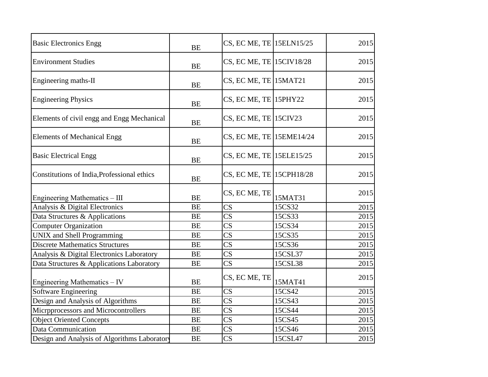| <b>Basic Electronics Engg</b>                | <b>BE</b> | CS, EC ME, TE 15ELN15/25 |         | 2015 |
|----------------------------------------------|-----------|--------------------------|---------|------|
| <b>Environment Studies</b>                   | <b>BE</b> | CS, EC ME, TE 15CIV18/28 |         | 2015 |
| Engineering maths-II                         | <b>BE</b> | CS, EC ME, TE 15MAT21    |         | 2015 |
| <b>Engineering Physics</b>                   | <b>BE</b> | CS, EC ME, TE 15PHY22    |         | 2015 |
| Elements of civil engg and Engg Mechanical   | <b>BE</b> | $CS$ , EC ME, TE 15CIV23 |         | 2015 |
| <b>Elements of Mechanical Engg</b>           | <b>BE</b> | CS, EC ME, TE 15EME14/24 |         | 2015 |
| <b>Basic Electrical Engg</b>                 | <b>BE</b> | CS, EC ME, TE 15ELE15/25 |         | 2015 |
| Constitutions of India, Professional ethics  | <b>BE</b> | CS, EC ME, TE 15CPH18/28 |         | 2015 |
| Engineering Mathematics - III                | <b>BE</b> | CS, EC ME, TE            | 15MAT31 | 2015 |
| Analysis & Digital Electronics               | <b>BE</b> | $\overline{\text{CS}}$   | 15CS32  | 2015 |
| Data Structures & Applications               | <b>BE</b> | $\overline{\text{CS}}$   | 15CS33  | 2015 |
| <b>Computer Organization</b>                 | <b>BE</b> | $\overline{\text{CS}}$   | 15CS34  | 2015 |
| UNIX and Shell Programming                   | <b>BE</b> | CS                       | 15CS35  | 2015 |
| <b>Discrete Mathematics Structures</b>       | <b>BE</b> | $\overline{\text{CS}}$   | 15CS36  | 2015 |
| Analysis & Digital Electronics Laboratory    | <b>BE</b> | CS                       | 15CSL37 | 2015 |
| Data Structures & Applications Laboratory    | <b>BE</b> | CS                       | 15CSL38 | 2015 |
| Engineering Mathematics - IV                 | <b>BE</b> | CS, EC ME, TE            | 15MAT41 | 2015 |
| Software Engineering                         | <b>BE</b> | CS                       | 15CS42  | 2015 |
| Design and Analysis of Algorithms            | <b>BE</b> | CS                       | 15CS43  | 2015 |
| Microprocessors and Microcontrollers         | <b>BE</b> | $\overline{\text{CS}}$   | 15CS44  | 2015 |
| <b>Object Oriented Concepts</b>              | <b>BE</b> | $\overline{\text{CS}}$   | 15CS45  | 2015 |
| Data Communication                           | <b>BE</b> | $\overline{\text{CS}}$   | 15CS46  | 2015 |
| Design and Analysis of Algorithms Laboratory | <b>BE</b> | $\overline{\text{CS}}$   | 15CSL47 | 2015 |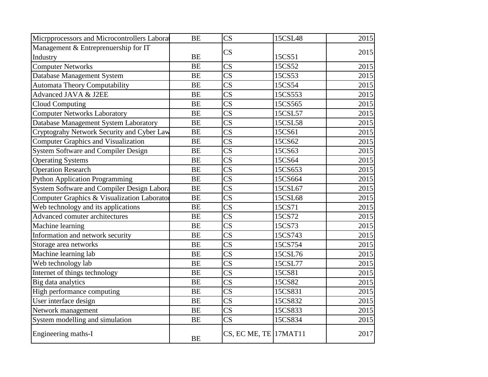| Microprocessors and Microcontrollers Laborat | <b>BE</b> | $\overline{\text{CS}}$ | 15CSL48 | 2015 |
|----------------------------------------------|-----------|------------------------|---------|------|
| Management & Entreprenuership for IT         |           | CS                     |         | 2015 |
| Industry                                     | <b>BE</b> |                        | 15CS51  |      |
| <b>Computer Networks</b>                     | <b>BE</b> | $\overline{\text{CS}}$ | 15CS52  | 2015 |
| Database Management System                   | <b>BE</b> | $\overline{\text{CS}}$ | 15CS53  | 2015 |
| <b>Automata Theory Computability</b>         | <b>BE</b> | $\overline{\text{CS}}$ | 15CS54  | 2015 |
| Advanced JAVA & J2EE                         | <b>BE</b> | $\overline{\text{CS}}$ | 15CS553 | 2015 |
| <b>Cloud Computing</b>                       | <b>BE</b> | $\overline{\text{CS}}$ | 15CS565 | 2015 |
| <b>Computer Networks Laboratory</b>          | <b>BE</b> | $\overline{\text{CS}}$ | 15CSL57 | 2015 |
| Database Management System Laboratory        | <b>BE</b> | $\overline{\text{CS}}$ | 15CSL58 | 2015 |
| Cryptograhy Network Security and Cyber Law   | <b>BE</b> | $\overline{\text{CS}}$ | 15CS61  | 2015 |
| <b>Computer Graphics and Visualization</b>   | <b>BE</b> | $\overline{\text{CS}}$ | 15CS62  | 2015 |
| <b>System Software and Compiler Design</b>   | <b>BE</b> | $\overline{\text{CS}}$ | 15CS63  | 2015 |
| <b>Operating Systems</b>                     | <b>BE</b> | $\overline{\text{CS}}$ | 15CS64  | 2015 |
| <b>Operation Research</b>                    | <b>BE</b> | $\overline{\text{CS}}$ | 15CS653 | 2015 |
| Python Application Programming               | <b>BE</b> | $\overline{\text{CS}}$ | 15CS664 | 2015 |
| System Software and Compiler Design Labora   | <b>BE</b> | $\overline{\text{CS}}$ | 15CSL67 | 2015 |
| Computer Graphics & Visualization Laborator  | <b>BE</b> | $\overline{\text{CS}}$ | 15CSL68 | 2015 |
| Web technology and its applications          | <b>BE</b> | $\overline{\text{CS}}$ | 15CS71  | 2015 |
| Advanced comuter architectures               | <b>BE</b> | $\overline{\text{CS}}$ | 15CS72  | 2015 |
| Machine learning                             | <b>BE</b> | $\overline{\text{CS}}$ | 15CS73  | 2015 |
| Information and network security             | <b>BE</b> | $\overline{\text{CS}}$ | 15CS743 | 2015 |
| Storage area networks                        | <b>BE</b> | $\overline{\text{CS}}$ | 15CS754 | 2015 |
| Machine learning lab                         | <b>BE</b> | $\overline{\text{CS}}$ | 15CSL76 | 2015 |
| Web technology lab                           | <b>BE</b> | $\overline{\text{CS}}$ | 15CSL77 | 2015 |
| Internet of things technology                | <b>BE</b> | $\overline{\text{CS}}$ | 15CS81  | 2015 |
| Big data analytics                           | <b>BE</b> | $\overline{\text{CS}}$ | 15CS82  | 2015 |
| High performance computing                   | <b>BE</b> | $\overline{\text{CS}}$ | 15CS831 | 2015 |
| User interface design                        | <b>BE</b> | $\overline{\text{CS}}$ | 15CS832 | 2015 |
| Network management                           | <b>BE</b> | $\overline{\text{CS}}$ | 15CS833 | 2015 |
| System modelling and simulation              | <b>BE</b> | $\overline{\text{CS}}$ | 15CS834 | 2015 |
| Engineering maths-I                          | <b>BE</b> | CS, EC ME, TE 17MAT11  |         | 2017 |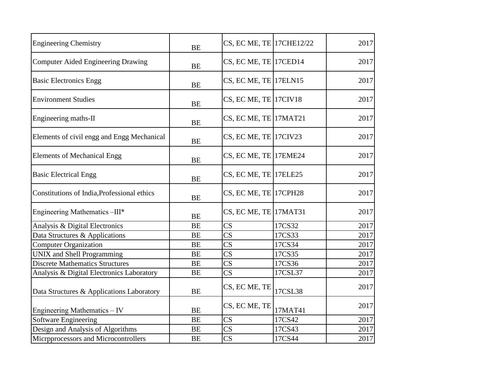| <b>Engineering Chemistry</b>                | <b>BE</b> | CS, EC ME, TE 17CHE12/22 |         | 2017 |
|---------------------------------------------|-----------|--------------------------|---------|------|
| Computer Aided Engineering Drawing          | <b>BE</b> | CS, EC ME, TE 17CED14    |         | 2017 |
| <b>Basic Electronics Engg</b>               | <b>BE</b> | CS, EC ME, TE 17ELN15    |         | 2017 |
| <b>Environment Studies</b>                  | <b>BE</b> | $CS$ , EC ME, TE 17CIV18 |         | 2017 |
| Engineering maths-II                        | <b>BE</b> | $CS$ , EC ME, TE 17MAT21 |         | 2017 |
| Elements of civil engg and Engg Mechanical  | <b>BE</b> | CS, EC ME, TE $17$ CIV23 |         | 2017 |
| <b>Elements of Mechanical Engg</b>          | <b>BE</b> | CS, EC ME, TE 17EME24    |         | 2017 |
| <b>Basic Electrical Engg</b>                | <b>BE</b> | CS, EC ME, TE 17ELE25    |         | 2017 |
| Constitutions of India, Professional ethics | <b>BE</b> | CS, EC ME, TE 17CPH28    |         | 2017 |
| Engineering Mathematics -III*               | <b>BE</b> | CS, EC ME, TE 17MAT31    |         | 2017 |
| Analysis & Digital Electronics              | <b>BE</b> | $\overline{\text{CS}}$   | 17CS32  | 2017 |
| Data Structures & Applications              | <b>BE</b> | $\overline{\text{CS}}$   | 17CS33  | 2017 |
| <b>Computer Organization</b>                | <b>BE</b> | $\overline{\text{CS}}$   | 17CS34  | 2017 |
| <b>UNIX</b> and Shell Programming           | <b>BE</b> | $\overline{\text{CS}}$   | 17CS35  | 2017 |
| <b>Discrete Mathematics Structures</b>      | <b>BE</b> | CS                       | 17CS36  | 2017 |
| Analysis & Digital Electronics Laboratory   | <b>BE</b> | $\overline{\text{CS}}$   | 17CSL37 | 2017 |
| Data Structures & Applications Laboratory   | <b>BE</b> | CS, EC ME, TE            | 17CSL38 | 2017 |
| Engineering Mathematics - IV                | <b>BE</b> | CS, EC ME, TE            | 17MAT41 | 2017 |
| Software Engineering                        | <b>BE</b> | $\overline{\text{CS}}$   | 17CS42  | 2017 |
| Design and Analysis of Algorithms           | <b>BE</b> | $\overline{\text{CS}}$   | 17CS43  | 2017 |
| Microprocessors and Microcontrollers        | <b>BE</b> | CS                       | 17CS44  | 2017 |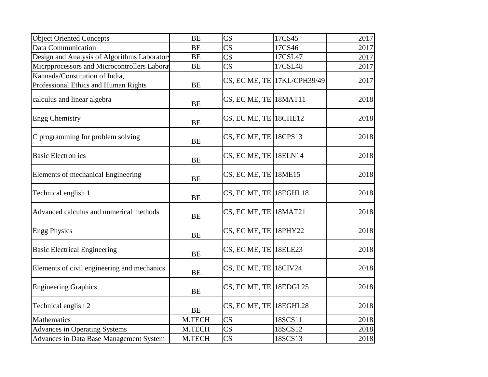| <b>Object Oriented Concepts</b>                                        | <b>BE</b> | $\overline{\text{CS}}$   | 17CS45                      | 2017 |
|------------------------------------------------------------------------|-----------|--------------------------|-----------------------------|------|
| <b>Data Communication</b>                                              | <b>BE</b> | $\overline{\text{CS}}$   | 17CS46                      | 2017 |
| Design and Analysis of Algorithms Laboratory                           | <b>BE</b> | $\overline{\text{CS}}$   | 17CSL47                     | 2017 |
| Microprocessors and Microcontrollers Labora                            | <b>BE</b> | $\overline{\text{CS}}$   | 17CSL48                     | 2017 |
| Kannada/Constitution of India,<br>Professional Ethics and Human Rights | <b>BE</b> |                          | CS, EC ME, TE 17KL/CPH39/49 | 2017 |
| calculus and linear algebra                                            | <b>BE</b> | CS, EC ME, TE 18MAT11    |                             | 2018 |
| <b>Engg Chemistry</b>                                                  | <b>BE</b> | $CS$ , EC ME, TE 18CHE12 |                             | 2018 |
| C programming for problem solving                                      | <b>BE</b> | $CS$ , EC ME, TE 18CPS13 |                             | 2018 |
| <b>Basic Electron ics</b>                                              | <b>BE</b> | $CS$ , EC ME, TE 18ELN14 |                             | 2018 |
| Elements of mechanical Engineering                                     | <b>BE</b> | $CS$ , EC ME, TE 18ME15  |                             | 2018 |
| Technical english 1                                                    | <b>BE</b> | CS, EC ME, TE 18EGHL18   |                             | 2018 |
| Advanced calculus and numerical methods                                | <b>BE</b> | CS, EC ME, TE 18MAT21    |                             | 2018 |
| <b>Engg Physics</b>                                                    | <b>BE</b> | CS, EC ME, TE 18PHY22    |                             | 2018 |
| <b>Basic Electrical Engineering</b>                                    | <b>BE</b> | CS, EC ME, TE 18ELE23    |                             | 2018 |
| Elements of civil engineering and mechanics                            | <b>BE</b> | CS, EC ME, TE 18CIV24    |                             | 2018 |
| <b>Engineering Graphics</b>                                            | <b>BE</b> | CS, EC ME, TE 18EDGL25   |                             | 2018 |
| Technical english 2                                                    | <b>BE</b> | CS, EC ME, TE 18EGHL28   |                             | 2018 |
| Mathematics                                                            | M.TECH    | $\overline{\text{CS}}$   | 18SCS11                     | 2018 |
| <b>Advances in Operating Systems</b>                                   | M.TECH    | $\overline{\text{CS}}$   | 18SCS12                     | 2018 |
| Advances in Data Base Management System                                | M.TECH    | CS                       | 18SCS13                     | 2018 |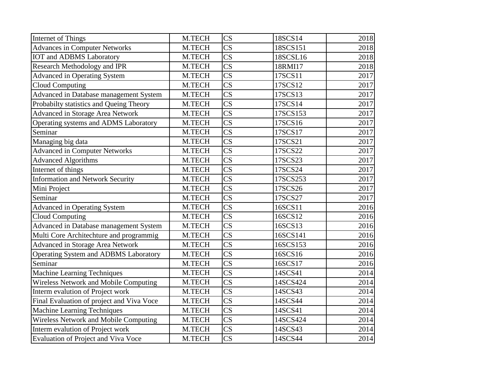| Internet of Things                        | M.TECH | $\overline{\text{CS}}$ | 18SCS14  | 2018 |
|-------------------------------------------|--------|------------------------|----------|------|
| <b>Advances in Computer Networks</b>      | M.TECH | $\overline{\text{CS}}$ | 18SCS151 | 2018 |
| <b>IOT</b> and ADBMS Laboratory           | M.TECH | $\overline{\text{CS}}$ | 18SCSL16 | 2018 |
| <b>Research Methodology and IPR</b>       | M.TECH | $\overline{\text{CS}}$ | 18RMI17  | 2018 |
| Advanced in Operating System              | M.TECH | $\overline{\text{CS}}$ | 17SCS11  | 2017 |
| <b>Cloud Computing</b>                    | M.TECH | $\overline{\text{CS}}$ | 17SCS12  | 2017 |
| Advanced in Database management System    | M.TECH | $\overline{\text{CS}}$ | 17SCS13  | 2017 |
| Probabilty statistics and Queing Theory   | M.TECH | $\overline{\text{CS}}$ | 17SCS14  | 2017 |
| Advanced in Storage Area Network          | M.TECH | $\overline{\text{CS}}$ | 17SCS153 | 2017 |
| Operating systems and ADMS Laboratory     | M.TECH | $\overline{\text{CS}}$ | 17SCS16  | 2017 |
| Seminar                                   | M.TECH | $\overline{\text{CS}}$ | 17SCS17  | 2017 |
| Managing big data                         | M.TECH | $\overline{\text{CS}}$ | 17SCS21  | 2017 |
| <b>Advanced in Computer Networks</b>      | M.TECH | $\overline{\text{CS}}$ | 17SCS22  | 2017 |
| <b>Advanced Algorithms</b>                | M.TECH | $\overline{\text{CS}}$ | 17SCS23  | 2017 |
| Internet of things                        | M.TECH | $\overline{\text{CS}}$ | 17SCS24  | 2017 |
| <b>Information and Network Security</b>   | M.TECH | $\overline{\text{CS}}$ | 17SCS253 | 2017 |
| Mini Project                              | M.TECH | $\overline{\text{CS}}$ | 17SCS26  | 2017 |
| Seminar                                   | M.TECH | $\overline{\text{CS}}$ | 17SCS27  | 2017 |
| <b>Advanced in Operating System</b>       | M.TECH | $\overline{\text{CS}}$ | 16SCS11  | 2016 |
| <b>Cloud Computing</b>                    | M.TECH | $\overline{\text{CS}}$ | 16SCS12  | 2016 |
| Advanced in Database management System    | M.TECH | $\overline{\text{CS}}$ | 16SCS13  | 2016 |
| Multi Core Architechture and programmig   | M.TECH | $\overline{\text{CS}}$ | 16SCS141 | 2016 |
| Advanced in Storage Area Network          | M.TECH | $\overline{\text{CS}}$ | 16SCS153 | 2016 |
| Operating System and ADBMS Laboratory     | M.TECH | $\overline{\text{CS}}$ | 16SCS16  | 2016 |
| Seminar                                   | M.TECH | $\overline{\text{CS}}$ | 16SCS17  | 2016 |
| <b>Machine Learning Techniques</b>        | M.TECH | $\overline{\text{CS}}$ | 14SCS41  | 2014 |
| Wireless Network and Mobile Computing     | M.TECH | $\overline{\text{CS}}$ | 14SCS424 | 2014 |
| Interm evalution of Project work          | M.TECH | $\overline{\text{CS}}$ | 14SCS43  | 2014 |
| Final Evaluation of project and Viva Voce | M.TECH | $\overline{\text{CS}}$ | 14SCS44  | 2014 |
| Machine Learning Techniques               | M.TECH | $\overline{\text{CS}}$ | 14SCS41  | 2014 |
| Wireless Network and Mobile Computing     | M.TECH | $\overline{\text{CS}}$ | 14SCS424 | 2014 |
| Interm evalution of Project work          | M.TECH | $\overline{\text{CS}}$ | 14SCS43  | 2014 |
| Evaluation of Project and Viva Voce       | M.TECH | $\overline{\text{CS}}$ | 14SCS44  | 2014 |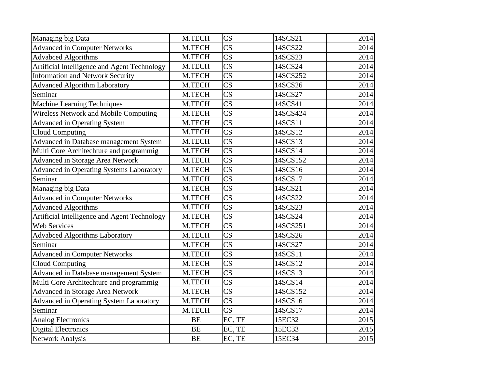| Managing big Data                               | M.TECH    | $\overline{\text{CS}}$ | 14SCS21  | 2014 |
|-------------------------------------------------|-----------|------------------------|----------|------|
| <b>Advanced in Computer Networks</b>            | M.TECH    | $\overline{\text{CS}}$ | 14SCS22  | 2014 |
| <b>Advabced Algorithms</b>                      | M.TECH    | $\overline{\text{CS}}$ | 14SCS23  | 2014 |
| Artificial Intelligence and Agent Technology    | M.TECH    | $\overline{\text{CS}}$ | 14SCS24  | 2014 |
| <b>Information and Network Security</b>         | M.TECH    | $\overline{\text{CS}}$ | 14SCS252 | 2014 |
| <b>Advanced Algorithm Laboratory</b>            | M.TECH    | $\overline{\text{CS}}$ | 14SCS26  | 2014 |
| Seminar                                         | M.TECH    | $\overline{\text{CS}}$ | 14SCS27  | 2014 |
| <b>Machine Learning Techniques</b>              | M.TECH    | $\overline{\text{CS}}$ | 14SCS41  | 2014 |
| Wireless Network and Mobile Computing           | M.TECH    | $\overline{\text{CS}}$ | 14SCS424 | 2014 |
| <b>Advanced in Operating System</b>             | M.TECH    | $\overline{\text{CS}}$ | 14SCS11  | 2014 |
| <b>Cloud Computing</b>                          | M.TECH    | $\overline{\text{CS}}$ | 14SCS12  | 2014 |
| Advanced in Database management System          | M.TECH    | $\overline{\text{CS}}$ | 14SCS13  | 2014 |
| Multi Core Architechture and programmig         | M.TECH    | $\overline{\text{CS}}$ | 14SCS14  | 2014 |
| Advanced in Storage Area Network                | M.TECH    | $\overline{\text{CS}}$ | 14SCS152 | 2014 |
| <b>Advanced in Operating Systems Laboratory</b> | M.TECH    | $\overline{\text{CS}}$ | 14SCS16  | 2014 |
| Seminar                                         | M.TECH    | $\overline{\text{CS}}$ | 14SCS17  | 2014 |
| Managing big Data                               | M.TECH    | $\overline{\text{CS}}$ | 14SCS21  | 2014 |
| <b>Advanced in Computer Networks</b>            | M.TECH    | $\overline{\text{CS}}$ | 14SCS22  | 2014 |
| <b>Advanced Algorithms</b>                      | M.TECH    | $\overline{\text{CS}}$ | 14SCS23  | 2014 |
| Artificial Intelligence and Agent Technology    | M.TECH    | $\overline{\text{CS}}$ | 14SCS24  | 2014 |
| <b>Web Services</b>                             | M.TECH    | $\overline{\text{CS}}$ | 14SCS251 | 2014 |
| <b>Advabced Algorithms Laboratory</b>           | M.TECH    | $\overline{\text{CS}}$ | 14SCS26  | 2014 |
| Seminar                                         | M.TECH    | $\overline{\text{CS}}$ | 14SCS27  | 2014 |
| <b>Advanced in Computer Networks</b>            | M.TECH    | $\overline{\text{CS}}$ | 14SCS11  | 2014 |
| <b>Cloud Computing</b>                          | M.TECH    | $\overline{\text{CS}}$ | 14SCS12  | 2014 |
| Advanced in Database management System          | M.TECH    | $\overline{\text{CS}}$ | 14SCS13  | 2014 |
| Multi Core Architechture and programmig         | M.TECH    | $\overline{\text{CS}}$ | 14SCS14  | 2014 |
| <b>Advanced in Storage Area Network</b>         | M.TECH    | $\overline{\text{CS}}$ | 14SCS152 | 2014 |
| Advanced in Operating System Laboratory         | M.TECH    | $\overline{\text{CS}}$ | 14SCS16  | 2014 |
| Seminar                                         | M.TECH    | $\overline{\text{CS}}$ | 14SCS17  | 2014 |
| <b>Analog Electronics</b>                       | BE        | EC, TE                 | 15EC32   | 2015 |
| <b>Digital Electronics</b>                      | <b>BE</b> | EC, TE                 | 15EC33   | 2015 |
| Network Analysis                                | <b>BE</b> | EC, TE                 | 15EC34   | 2015 |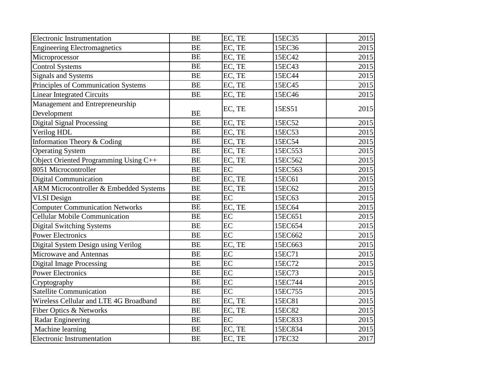| <b>Electronic Instrumentation</b>      | <b>BE</b> | EC, TE | 15EC35  | 2015 |
|----------------------------------------|-----------|--------|---------|------|
| <b>Engineering Electromagnetics</b>    | <b>BE</b> | EC, TE | 15EC36  | 2015 |
| Microprocessor                         | <b>BE</b> | EC, TE | 15EC42  | 2015 |
| <b>Control Systems</b>                 | <b>BE</b> | EC, TE | 15EC43  | 2015 |
| <b>Signals and Systems</b>             | <b>BE</b> | EC, TE | 15EC44  | 2015 |
| Principles of Communication Systems    | <b>BE</b> | EC, TE | 15EC45  | 2015 |
| <b>Linear Integrated Circuits</b>      | <b>BE</b> | EC, TE | 15EC46  | 2015 |
| Management and Entrepreneurship        |           |        |         |      |
| Development                            | <b>BE</b> | EC, TE | 15ES51  | 2015 |
| Digital Signal Processing              | <b>BE</b> | EC, TE | 15EC52  | 2015 |
| Verilog HDL                            | <b>BE</b> | EC, TE | 15EC53  | 2015 |
| Information Theory & Coding            | <b>BE</b> | EC, TE | 15EC54  | 2015 |
| <b>Operating System</b>                | <b>BE</b> | EC, TE | 15EC553 | 2015 |
| Object Oriented Programming Using C++  | <b>BE</b> | EC, TE | 15EC562 | 2015 |
| 8051 Microcontroller                   | <b>BE</b> | EC     | 15EC563 | 2015 |
| <b>Digital Communication</b>           | <b>BE</b> | EC, TE | 15EC61  | 2015 |
| ARM Microcontroller & Embedded Systems | <b>BE</b> | EC, TE | 15EC62  | 2015 |
| <b>VLSI</b> Design                     | <b>BE</b> | EC     | 15EC63  | 2015 |
| <b>Computer Communication Networks</b> | <b>BE</b> | EC, TE | 15EC64  | 2015 |
| <b>Cellular Mobile Communication</b>   | <b>BE</b> | EC     | 15EC651 | 2015 |
| <b>Digital Switching Systems</b>       | <b>BE</b> | EC     | 15EC654 | 2015 |
| <b>Power Electronics</b>               | <b>BE</b> | EC     | 15EC662 | 2015 |
| Digital System Design using Verilog    | <b>BE</b> | EC, TE | 15EC663 | 2015 |
| Microwave and Antennas                 | <b>BE</b> | EC     | 15EC71  | 2015 |
| <b>Digital Image Processing</b>        | <b>BE</b> | EC     | 15EC72  | 2015 |
| <b>Power Electronics</b>               | <b>BE</b> | EC     | 15EC73  | 2015 |
| Cryptography                           | <b>BE</b> | EC     | 15EC744 | 2015 |
| <b>Satellite Communication</b>         | <b>BE</b> | EC     | 15EC755 | 2015 |
| Wireless Cellular and LTE 4G Broadband | <b>BE</b> | EC, TE | 15EC81  | 2015 |
| Fiber Optics & Networks                | <b>BE</b> | EC, TE | 15EC82  | 2015 |
| Radar Engineering                      | <b>BE</b> | EC     | 15EC833 | 2015 |
| Machine learning                       | <b>BE</b> | EC, TE | 15EC834 | 2015 |
| Electronic Instrumentation             | <b>BE</b> | EC, TE | 17EC32  | 2017 |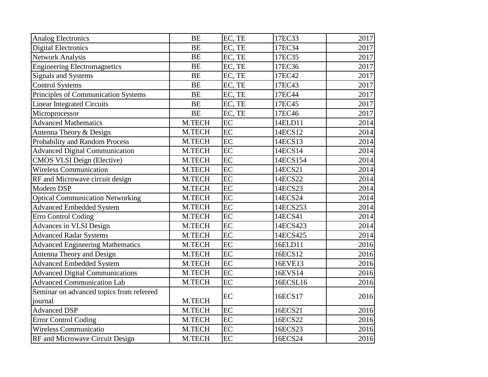| Analog Electronics                       | <b>BE</b> | EC, TE | 17EC33   | 2017 |
|------------------------------------------|-----------|--------|----------|------|
| <b>Digital Electronics</b>               | <b>BE</b> | EC, TE | 17EC34   | 2017 |
| <b>Network Analysis</b>                  | <b>BE</b> | EC, TE | 17EC35   | 2017 |
| <b>Engineering Electromagnetics</b>      | <b>BE</b> | EC, TE | 17EC36   | 2017 |
| <b>Signals and Systems</b>               | <b>BE</b> | EC, TE | 17EC42   | 2017 |
| <b>Control Systems</b>                   | <b>BE</b> | EC, TE | 17EC43   | 2017 |
| Principles of Communication Systems      | <b>BE</b> | EC, TE | 17EC44   | 2017 |
| <b>Linear Integrated Circuits</b>        | <b>BE</b> | EC, TE | 17EC45   | 2017 |
| Microprocessor                           | <b>BE</b> | EC, TE | 17EC46   | 2017 |
| <b>Advanced Mathematics</b>              | M.TECH    | EC     | 14ELD11  | 2014 |
| Antenna Theory & Design                  | M.TECH    | EC     | 14ECS12  | 2014 |
| Probability and Random Process           | M.TECH    | EC     | 14ECS13  | 2014 |
| <b>Advanced Digital Communication</b>    | M.TECH    | EC     | 14ECS14  | 2014 |
| <b>CMOS VLSI Deign (Elective)</b>        | M.TECH    | EC     | 14ECS154 | 2014 |
| <b>Wireless Communication</b>            | M.TECH    | EC     | 14ECS21  | 2014 |
| RF and Microwave circuit design          | M.TECH    | EC     | 14ECS22  | 2014 |
| Modern DSP                               | M.TECH    | EC     | 14ECS23  | 2014 |
| <b>Optical Communication Networking</b>  | M.TECH    | EC     | 14ECS24  | 2014 |
| <b>Advanced Embedded System</b>          | M.TECH    | EC     | 14ECS253 | 2014 |
| <b>Erro Control Coding</b>               | M.TECH    | EC     | 14ECS41  | 2014 |
| Advances in VLSI Design                  | M.TECH    | EC     | 14ECS423 | 2014 |
| <b>Advanced Radar Systems</b>            | M.TECH    | EC     | 14ECS425 | 2014 |
| <b>Advanced Engineering Mathematics</b>  | M.TECH    | EC     | 16ELD11  | 2016 |
| Antenna Theory and Design                | M.TECH    | EC     | 16ECS12  | 2016 |
| <b>Advanced Embedded System</b>          | M.TECH    | EC     | 16EVE13  | 2016 |
| <b>Advanced Digital Communications</b>   | M.TECH    | EC     | 16EVS14  | 2016 |
| <b>Advanced Communication Lab</b>        | M.TECH    | EC     | 16ECSL16 | 2016 |
| Seminar on advanced topics from refereed |           | EC     | 16ECS17  | 2016 |
| journal                                  | M.TECH    |        |          |      |
| <b>Advanced DSP</b>                      | M.TECH    | EC     | 16ECS21  | 2016 |
| <b>Error Control Coding</b>              | M.TECH    | EC     | 16ECS22  | 2016 |
| Wireless Communicatio                    | M.TECH    | EC     | 16ECS23  | 2016 |
| RF and Microwave Circuit Design          | M.TECH    | EC     | 16ECS24  | 2016 |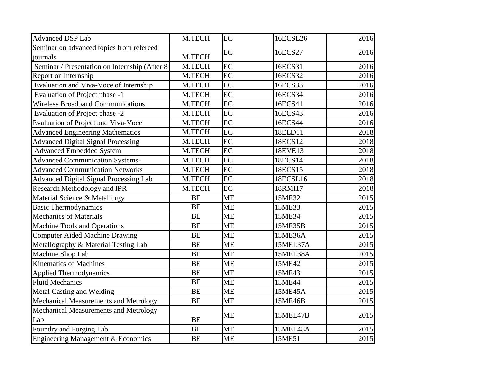| <b>Advanced DSP Lab</b>                       | M.TECH    | EC        | 16ECSL26 | 2016 |
|-----------------------------------------------|-----------|-----------|----------|------|
| Seminar on advanced topics from refereed      |           | EC        |          | 2016 |
| journals                                      | M.TECH    |           | 16ECS27  |      |
| Seminar / Presentation on Internship (After 8 | M.TECH    | EC        | 16ECS31  | 2016 |
| Report on Internship                          | M.TECH    | EC        | 16ECS32  | 2016 |
| Evaluation and Viva-Voce of Internship        | M.TECH    | EC        | 16ECS33  | 2016 |
| Evaluation of Project phase -1                | M.TECH    | EC        | 16ECS34  | 2016 |
| <b>Wireless Broadband Communications</b>      | M.TECH    | EC        | 16ECS41  | 2016 |
| Evaluation of Project phase -2                | M.TECH    | EC        | 16ECS43  | 2016 |
| <b>Evaluation of Project and Viva-Voce</b>    | M.TECH    | EC        | 16ECS44  | 2016 |
| <b>Advanced Engineering Mathematics</b>       | M.TECH    | EC        | 18ELD11  | 2018 |
| <b>Advanced Digital Signal Processing</b>     | M.TECH    | EC        | 18ECS12  | 2018 |
| <b>Advanced Embedded System</b>               | M.TECH    | EC        | 18EVE13  | 2018 |
| <b>Advanced Communication Systems-</b>        | M.TECH    | EC        | 18ECS14  | 2018 |
| <b>Advanced Communication Networks</b>        | M.TECH    | EC        | 18ECS15  | 2018 |
| <b>Advanced Digital Signal Processing Lab</b> | M.TECH    | EC        | 18ECSL16 | 2018 |
| Research Methodology and IPR                  | M.TECH    | EC        | 18RMI17  | 2018 |
| Material Science & Metallurgy                 | <b>BE</b> | <b>ME</b> | 15ME32   | 2015 |
| <b>Basic Thermodynamics</b>                   | <b>BE</b> | <b>ME</b> | 15ME33   | 2015 |
| <b>Mechanics of Materials</b>                 | <b>BE</b> | <b>ME</b> | 15ME34   | 2015 |
| Machine Tools and Operations                  | <b>BE</b> | <b>ME</b> | 15ME35B  | 2015 |
| <b>Computer Aided Machine Drawing</b>         | <b>BE</b> | <b>ME</b> | 15ME36A  | 2015 |
| Metallography & Material Testing Lab          | <b>BE</b> | <b>ME</b> | 15MEL37A | 2015 |
| Machine Shop Lab                              | <b>BE</b> | <b>ME</b> | 15MEL38A | 2015 |
| <b>Kinematics of Machines</b>                 | <b>BE</b> | <b>ME</b> | 15ME42   | 2015 |
| Applied Thermodynamics                        | <b>BE</b> | <b>ME</b> | 15ME43   | 2015 |
| <b>Fluid Mechanics</b>                        | <b>BE</b> | <b>ME</b> | 15ME44   | 2015 |
| Metal Casting and Welding                     | <b>BE</b> | <b>ME</b> | 15ME45A  | 2015 |
| Mechanical Measurements and Metrology         | <b>BE</b> | <b>ME</b> | 15ME46B  | 2015 |
| Mechanical Measurements and Metrology         |           | <b>ME</b> | 15MEL47B | 2015 |
| Lab                                           | <b>BE</b> |           |          |      |
| Foundry and Forging Lab                       | <b>BE</b> | <b>ME</b> | 15MEL48A | 2015 |
| Engineering Management & Economics            | <b>BE</b> | <b>ME</b> | 15ME51   | 2015 |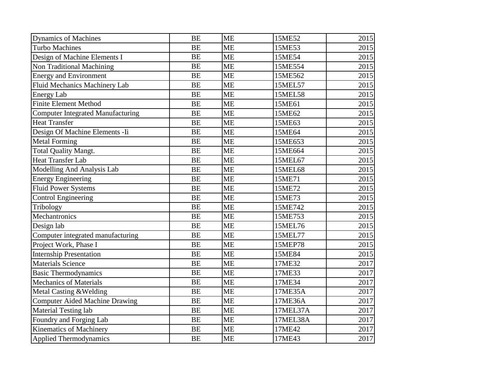| Dynamics of Machines                     | <b>BE</b> | <b>ME</b> | 15ME52         | 2015 |
|------------------------------------------|-----------|-----------|----------------|------|
| <b>Turbo Machines</b>                    | <b>BE</b> | <b>ME</b> | 15ME53         | 2015 |
| Design of Machine Elements I             | <b>BE</b> | <b>ME</b> | 15ME54         | 2015 |
| Non Traditional Machining                | <b>BE</b> | <b>ME</b> | 15ME554        | 2015 |
| <b>Energy and Environment</b>            | <b>BE</b> | <b>ME</b> | 15ME562        | 2015 |
| Fluid Mechanics Machinery Lab            | <b>BE</b> | <b>ME</b> | 15MEL57        | 2015 |
| <b>Energy Lab</b>                        | <b>BE</b> | <b>ME</b> | 15MEL58        | 2015 |
| <b>Finite Element Method</b>             | <b>BE</b> | <b>ME</b> | 15ME61         | 2015 |
| <b>Computer Integrated Manufacturing</b> | <b>BE</b> | <b>ME</b> | 15ME62         | 2015 |
| <b>Heat Transfer</b>                     | <b>BE</b> | <b>ME</b> | 15ME63         | 2015 |
| Design Of Machine Elements - Ii          | <b>BE</b> | <b>ME</b> | 15ME64         | 2015 |
| <b>Metal Forming</b>                     | <b>BE</b> | <b>ME</b> | 15ME653        | 2015 |
| <b>Total Quality Mangt.</b>              | <b>BE</b> | <b>ME</b> | 15ME664        | 2015 |
| Heat Transfer Lab                        | <b>BE</b> | <b>ME</b> | 15MEL67        | 2015 |
| Modelling And Analysis Lab               | <b>BE</b> | <b>ME</b> | <b>15MEL68</b> | 2015 |
| <b>Energy Engineering</b>                | <b>BE</b> | <b>ME</b> | 15ME71         | 2015 |
| <b>Fluid Power Systems</b>               | <b>BE</b> | <b>ME</b> | 15ME72         | 2015 |
| Control Engineering                      | <b>BE</b> | <b>ME</b> | 15ME73         | 2015 |
| Tribology                                | <b>BE</b> | <b>ME</b> | 15ME742        | 2015 |
| Mechantronics                            | <b>BE</b> | <b>ME</b> | 15ME753        | 2015 |
| Design lab                               | <b>BE</b> | <b>ME</b> | 15MEL76        | 2015 |
| Computer integrated manufacturing        | <b>BE</b> | <b>ME</b> | 15MEL77        | 2015 |
| Project Work, Phase I                    | <b>BE</b> | <b>ME</b> | <b>15MEP78</b> | 2015 |
| <b>Internship Presentation</b>           | <b>BE</b> | <b>ME</b> | 15ME84         | 2015 |
| <b>Materials Science</b>                 | <b>BE</b> | <b>ME</b> | 17ME32         | 2017 |
| <b>Basic Thermodynamics</b>              | <b>BE</b> | <b>ME</b> | 17ME33         | 2017 |
| <b>Mechanics of Materials</b>            | <b>BE</b> | <b>ME</b> | 17ME34         | 2017 |
| Metal Casting & Welding                  | <b>BE</b> | <b>ME</b> | 17ME35A        | 2017 |
| Computer Aided Machine Drawing           | <b>BE</b> | <b>ME</b> | 17ME36A        | 2017 |
| Material Testing lab                     | <b>BE</b> | <b>ME</b> | 17MEL37A       | 2017 |
| Foundry and Forging Lab                  | <b>BE</b> | <b>ME</b> | 17MEL38A       | 2017 |
| Kinematics of Machinery                  | <b>BE</b> | <b>ME</b> | 17ME42         | 2017 |
| Applied Thermodynamics                   | <b>BE</b> | <b>ME</b> | 17ME43         | 2017 |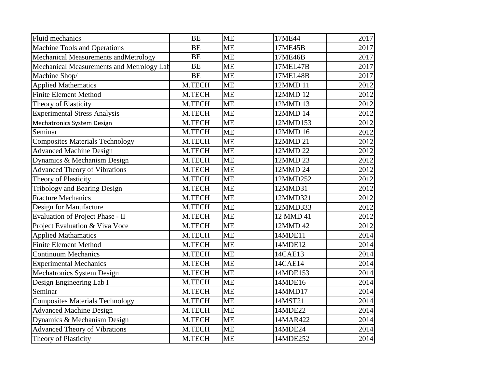| Fluid mechanics                           | <b>BE</b> | <b>ME</b> | 17ME44    | 2017              |
|-------------------------------------------|-----------|-----------|-----------|-------------------|
| Machine Tools and Operations              | <b>BE</b> | <b>ME</b> | 17ME45B   | 2017              |
| Mechanical Measurements and Metrology     | <b>BE</b> | <b>ME</b> | 17ME46B   | 2017              |
| Mechanical Measurements and Metrology Lab | <b>BE</b> | <b>ME</b> | 17MEL47B  | 2017              |
| Machine Shop/                             | <b>BE</b> | <b>ME</b> | 17MEL48B  | 2017              |
| <b>Applied Mathematics</b>                | M.TECH    | <b>ME</b> | 12MMD 11  | 2012              |
| <b>Finite Element Method</b>              | M.TECH    | <b>ME</b> | 12MMD 12  | 2012              |
| Theory of Elasticity                      | M.TECH    | <b>ME</b> | 12MMD 13  | 2012              |
| <b>Experimental Stress Analysis</b>       | M.TECH    | <b>ME</b> | 12MMD 14  | 2012              |
| Mechatronics System Design                | M.TECH    | <b>ME</b> | 12MMD153  | 2012              |
| Seminar                                   | M.TECH    | <b>ME</b> | 12MMD 16  | 2012              |
| <b>Composites Materials Technology</b>    | M.TECH    | <b>ME</b> | 12MMD 21  | 2012              |
| <b>Advanced Machine Design</b>            | M.TECH    | <b>ME</b> | 12MMD 22  | 2012              |
| Dynamics & Mechanism Design               | M.TECH    | <b>ME</b> | 12MMD 23  | 2012              |
| <b>Advanced Theory of Vibrations</b>      | M.TECH    | <b>ME</b> | 12MMD 24  | 2012              |
| Theory of Plasticity                      | M.TECH    | <b>ME</b> | 12MMD252  | 2012              |
| <b>Tribology and Bearing Design</b>       | M.TECH    | <b>ME</b> | 12MMD31   | 2012              |
| <b>Fracture Mechanics</b>                 | M.TECH    | <b>ME</b> | 12MMD321  | 2012              |
| Design for Manufacture                    | M.TECH    | <b>ME</b> | 12MMD333  | 2012              |
| Evaluation of Project Phase - II          | M.TECH    | <b>ME</b> | 12 MMD 41 | 2012              |
| Project Evaluation & Viva Voce            | M.TECH    | <b>ME</b> | 12MMD 42  | 2012              |
| <b>Applied Mathamatics</b>                | M.TECH    | <b>ME</b> | 14MDE11   | 2014              |
| <b>Finite Element Method</b>              | M.TECH    | <b>ME</b> | 14MDE12   | 2014              |
| <b>Continuum Mechanics</b>                | M.TECH    | <b>ME</b> | 14CAE13   | 2014              |
| <b>Experimental Mechanics</b>             | M.TECH    | <b>ME</b> | 14CAE14   | 2014              |
| Mechatronics System Design                | M.TECH    | <b>ME</b> | 14MDE153  | 2014              |
| Design Engineering Lab I                  | M.TECH    | <b>ME</b> | 14MDE16   | 2014              |
| Seminar                                   | M.TECH    | <b>ME</b> | 14MMD17   | 2014              |
| <b>Composites Materials Technology</b>    | M.TECH    | <b>ME</b> | 14MST21   | 2014              |
| <b>Advanced Machine Design</b>            | M.TECH    | <b>ME</b> | 14MDE22   | 2014              |
| Dynamics & Mechanism Design               | M.TECH    | <b>ME</b> | 14MAR422  | 2014              |
| <b>Advanced Theory of Vibrations</b>      | M.TECH    | <b>ME</b> | 14MDE24   | 2014              |
| Theory of Plasticity                      | M.TECH    | <b>ME</b> | 14MDE252  | $\overline{2}014$ |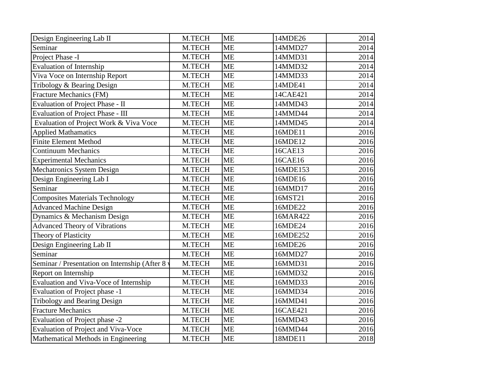| Design Engineering Lab II                     | M.TECH | <b>ME</b> | 14MDE26  | 2014 |
|-----------------------------------------------|--------|-----------|----------|------|
| Seminar                                       | M.TECH | <b>ME</b> | 14MMD27  | 2014 |
| Project Phase -I                              | M.TECH | <b>ME</b> | 14MMD31  | 2014 |
| <b>Evaluation of Internship</b>               | M.TECH | <b>ME</b> | 14MMD32  | 2014 |
| Viva Voce on Internship Report                | M.TECH | <b>ME</b> | 14MMD33  | 2014 |
| Tribology & Bearing Design                    | M.TECH | <b>ME</b> | 14MDE41  | 2014 |
| Fracture Mechanics (FM)                       | M.TECH | <b>ME</b> | 14CAE421 | 2014 |
| Evaluation of Project Phase - II              | M.TECH | <b>ME</b> | 14MMD43  | 2014 |
| Evaluation of Project Phase - III             | M.TECH | <b>ME</b> | 14MMD44  | 2014 |
| Evaluation of Project Work & Viva Voce        | M.TECH | <b>ME</b> | 14MMD45  | 2014 |
| <b>Applied Mathamatics</b>                    | M.TECH | <b>ME</b> | 16MDE11  | 2016 |
| <b>Finite Element Method</b>                  | M.TECH | <b>ME</b> | 16MDE12  | 2016 |
| <b>Continuum Mechanics</b>                    | M.TECH | <b>ME</b> | 16CAE13  | 2016 |
| <b>Experimental Mechanics</b>                 | M.TECH | <b>ME</b> | 16CAE16  | 2016 |
| Mechatronics System Design                    | M.TECH | <b>ME</b> | 16MDE153 | 2016 |
| Design Engineering Lab I                      | M.TECH | <b>ME</b> | 16MDE16  | 2016 |
| Seminar                                       | M.TECH | <b>ME</b> | 16MMD17  | 2016 |
| <b>Composites Materials Technology</b>        | M.TECH | <b>ME</b> | 16MST21  | 2016 |
| <b>Advanced Machine Design</b>                | M.TECH | <b>ME</b> | 16MDE22  | 2016 |
| Dynamics & Mechanism Design                   | M.TECH | <b>ME</b> | 16MAR422 | 2016 |
| <b>Advanced Theory of Vibrations</b>          | M.TECH | <b>ME</b> | 16MDE24  | 2016 |
| Theory of Plasticity                          | M.TECH | <b>ME</b> | 16MDE252 | 2016 |
| Design Engineering Lab II                     | M.TECH | <b>ME</b> | 16MDE26  | 2016 |
| Seminar                                       | M.TECH | <b>ME</b> | 16MMD27  | 2016 |
| Seminar / Presentation on Internship (After 8 | M.TECH | <b>ME</b> | 16MMD31  | 2016 |
| Report on Internship                          | M.TECH | <b>ME</b> | 16MMD32  | 2016 |
| Evaluation and Viva-Voce of Internship        | M.TECH | <b>ME</b> | 16MMD33  | 2016 |
| Evaluation of Project phase -1                | M.TECH | <b>ME</b> | 16MMD34  | 2016 |
| <b>Tribology and Bearing Design</b>           | M.TECH | <b>ME</b> | 16MMD41  | 2016 |
| <b>Fracture Mechanics</b>                     | M.TECH | <b>ME</b> | 16CAE421 | 2016 |
| Evaluation of Project phase -2                | M.TECH | <b>ME</b> | 16MMD43  | 2016 |
| Evaluation of Project and Viva-Voce           | M.TECH | <b>ME</b> | 16MMD44  | 2016 |
| Mathematical Methods in Engineering           | M.TECH | <b>ME</b> | 18MDE11  | 2018 |